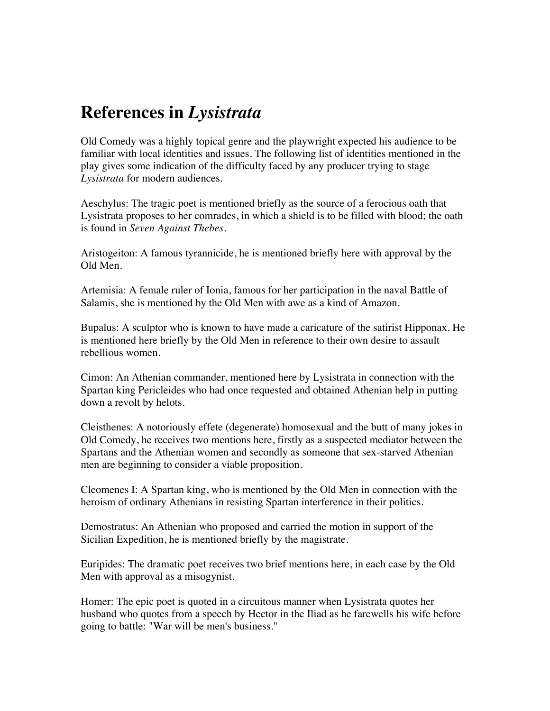## **References in** *Lysistrata*

Old Comedy was a highly topical genre and the playwright expected his audience to be familiar with local identities and issues. The following list of identities mentioned in the play gives some indication of the difficulty faced by any producer trying to stage *Lysistrata* for modern audiences.

Aeschylus: The tragic poet is mentioned briefly as the source of a ferocious oath that Lysistrata proposes to her comrades, in which a shield is to be filled with blood; the oath is found in *Seven Against Thebes*.

Aristogeiton: A famous tyrannicide, he is mentioned briefly here with approval by the Old Men.

Artemisia: A female ruler of Ionia, famous for her participation in the naval Battle of Salamis, she is mentioned by the Old Men with awe as a kind of Amazon.

Bupalus: A sculptor who is known to have made a caricature of the satirist Hipponax. He is mentioned here briefly by the Old Men in reference to their own desire to assault rebellious women.

Cimon: An Athenian commander, mentioned here by Lysistrata in connection with the Spartan king Pericleides who had once requested and obtained Athenian help in putting down a revolt by helots.

Cleisthenes: A notoriously effete (degenerate) homosexual and the butt of many jokes in Old Comedy, he receives two mentions here, firstly as a suspected mediator between the Spartans and the Athenian women and secondly as someone that sex-starved Athenian men are beginning to consider a viable proposition.

Cleomenes I: A Spartan king, who is mentioned by the Old Men in connection with the heroism of ordinary Athenians in resisting Spartan interference in their politics.

Demostratus: An Athenian who proposed and carried the motion in support of the Sicilian Expedition, he is mentioned briefly by the magistrate.

Euripides: The dramatic poet receives two brief mentions here, in each case by the Old Men with approval as a misogynist.

Homer: The epic poet is quoted in a circuitous manner when Lysistrata quotes her husband who quotes from a speech by Hector in the Iliad as he farewells his wife before going to battle: "War will be men's business."